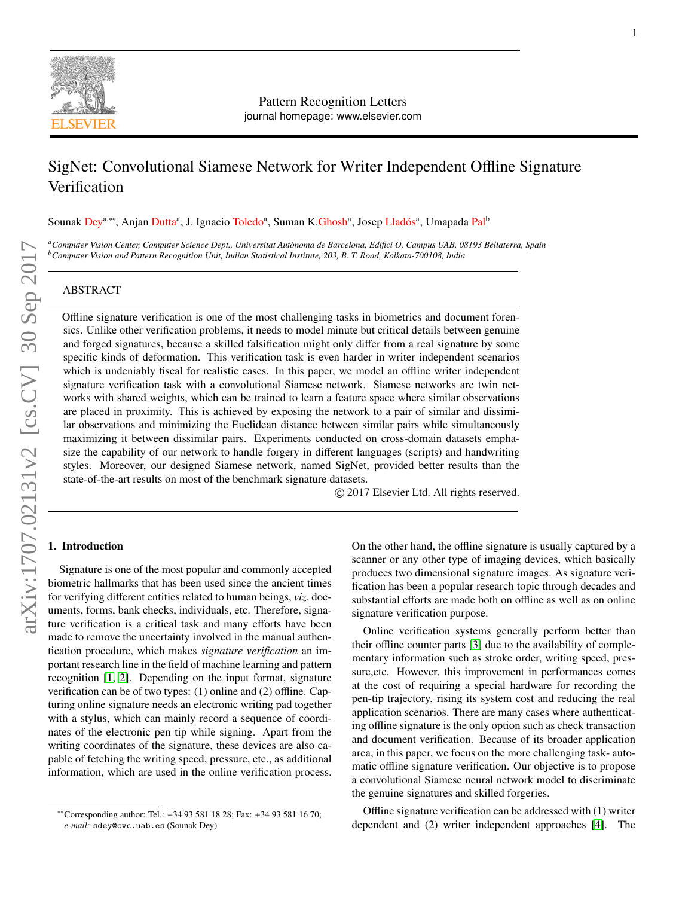

Pattern Recognition Letters journal homepage: www.elsevier.com

# SigNet: Convolutional Siamese Network for Writer Independent Offline Signature Verification

Sounak Dey<sup>a,∗∗</sup>, Anjan Dutta<sup>a</sup>, J. Ignacio Toledo<sup>a</sup>, Suman K.Ghosh<sup>a</sup>, Josep Lladós<sup>a</sup>, Umapada Pal<sup>b</sup>

*<sup>a</sup>Computer Vision Center, Computer Science Dept., Universitat Aut`onoma de Barcelona, Edifici O, Campus UAB, 08193 Bellaterra, Spain <sup>b</sup>Computer Vision and Pattern Recognition Unit, Indian Statistical Institute, 203, B. T. Road, Kolkata-700108, India*

### ABSTRACT

Offline signature verification is one of the most challenging tasks in biometrics and document forensics. Unlike other verification problems, it needs to model minute but critical details between genuine and forged signatures, because a skilled falsification might only differ from a real signature by some specific kinds of deformation. This verification task is even harder in writer independent scenarios which is undeniably fiscal for realistic cases. In this paper, we model an offline writer independent signature verification task with a convolutional Siamese network. Siamese networks are twin networks with shared weights, which can be trained to learn a feature space where similar observations are placed in proximity. This is achieved by exposing the network to a pair of similar and dissimilar observations and minimizing the Euclidean distance between similar pairs while simultaneously maximizing it between dissimilar pairs. Experiments conducted on cross-domain datasets emphasize the capability of our network to handle forgery in different languages (scripts) and handwriting styles. Moreover, our designed Siamese network, named SigNet, provided better results than the state-of-the-art results on most of the benchmark signature datasets.

c 2017 Elsevier Ltd. All rights reserved.

# 1. Introduction

Signature is one of the most popular and commonly accepted biometric hallmarks that has been used since the ancient times for verifying different entities related to human beings, *viz.* documents, forms, bank checks, individuals, etc. Therefore, signature verification is a critical task and many efforts have been made to remove the uncertainty involved in the manual authentication procedure, which makes *signature verification* an important research line in the field of machine learning and pattern recognition [\[1,](#page-6-0) [2\]](#page-6-1). Depending on the input format, signature verification can be of two types: (1) online and (2) offline. Capturing online signature needs an electronic writing pad together with a stylus, which can mainly record a sequence of coordinates of the electronic pen tip while signing. Apart from the writing coordinates of the signature, these devices are also capable of fetching the writing speed, pressure, etc., as additional information, which are used in the online verification process.

On the other hand, the offline signature is usually captured by a scanner or any other type of imaging devices, which basically produces two dimensional signature images. As signature verification has been a popular research topic through decades and substantial efforts are made both on offline as well as on online signature verification purpose.

Online verification systems generally perform better than their offline counter parts [\[3\]](#page-6-2) due to the availability of complementary information such as stroke order, writing speed, pressure,etc. However, this improvement in performances comes at the cost of requiring a special hardware for recording the pen-tip trajectory, rising its system cost and reducing the real application scenarios. There are many cases where authenticating offline signature is the only option such as check transaction and document verification. Because of its broader application area, in this paper, we focus on the more challenging task- automatic offline signature verification. Our objective is to propose a convolutional Siamese neural network model to discriminate the genuine signatures and skilled forgeries.

Offline signature verification can be addressed with (1) writer dependent and (2) writer independent approaches [\[4\]](#page-6-3). The

<sup>∗∗</sup>Corresponding author: Tel.: +34 93 581 18 28; Fax: +34 93 581 16 70; *e-mail:* sdey@cvc.uab.es (Sounak Dey)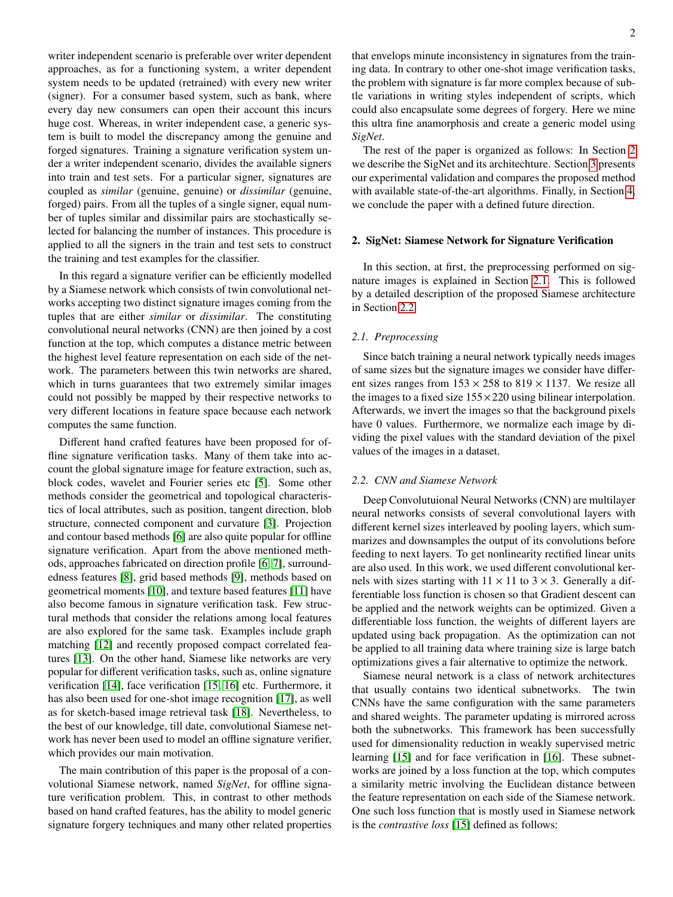writer independent scenario is preferable over writer dependent approaches, as for a functioning system, a writer dependent system needs to be updated (retrained) with every new writer (signer). For a consumer based system, such as bank, where every day new consumers can open their account this incurs huge cost. Whereas, in writer independent case, a generic system is built to model the discrepancy among the genuine and forged signatures. Training a signature verification system under a writer independent scenario, divides the available signers into train and test sets. For a particular signer, signatures are coupled as *similar* (genuine, genuine) or *dissimilar* (genuine, forged) pairs. From all the tuples of a single signer, equal number of tuples similar and dissimilar pairs are stochastically selected for balancing the number of instances. This procedure is applied to all the signers in the train and test sets to construct the training and test examples for the classifier.

In this regard a signature verifier can be efficiently modelled by a Siamese network which consists of twin convolutional networks accepting two distinct signature images coming from the tuples that are either *similar* or *dissimilar*. The constituting convolutional neural networks (CNN) are then joined by a cost function at the top, which computes a distance metric between the highest level feature representation on each side of the network. The parameters between this twin networks are shared, which in turns guarantees that two extremely similar images could not possibly be mapped by their respective networks to very different locations in feature space because each network computes the same function.

Different hand crafted features have been proposed for offline signature verification tasks. Many of them take into account the global signature image for feature extraction, such as, block codes, wavelet and Fourier series etc [\[5\]](#page-6-4). Some other methods consider the geometrical and topological characteristics of local attributes, such as position, tangent direction, blob structure, connected component and curvature [\[3\]](#page-6-2). Projection and contour based methods [\[6\]](#page-6-5) are also quite popular for offline signature verification. Apart from the above mentioned methods, approaches fabricated on direction profile [\[6,](#page-6-5) [7\]](#page-6-6), surroundedness features [\[8\]](#page-6-7), grid based methods [\[9\]](#page-6-8), methods based on geometrical moments [\[10\]](#page-6-9), and texture based features [\[11\]](#page-6-10) have also become famous in signature verification task. Few structural methods that consider the relations among local features are also explored for the same task. Examples include graph matching [\[12\]](#page-6-11) and recently proposed compact correlated features [\[13\]](#page-6-12). On the other hand, Siamese like networks are very popular for different verification tasks, such as, online signature verification [\[14\]](#page-6-13), face verification [\[15,](#page-6-14) [16\]](#page-6-15) etc. Furthermore, it has also been used for one-shot image recognition [\[17\]](#page-6-16), as well as for sketch-based image retrieval task [\[18\]](#page-6-17). Nevertheless, to the best of our knowledge, till date, convolutional Siamese network has never been used to model an offline signature verifier, which provides our main motivation.

The main contribution of this paper is the proposal of a convolutional Siamese network, named *SigNet*, for offline signature verification problem. This, in contrast to other methods based on hand crafted features, has the ability to model generic signature forgery techniques and many other related properties that envelops minute inconsistency in signatures from the training data. In contrary to other one-shot image verification tasks, the problem with signature is far more complex because of subtle variations in writing styles independent of scripts, which could also encapsulate some degrees of forgery. Here we mine this ultra fine anamorphosis and create a generic model using *SigNet*.

The rest of the paper is organized as follows: In Section [2](#page-1-0) we describe the SigNet and its architechture. Section [3](#page-3-0) presents our experimental validation and compares the proposed method with available state-of-the-art algorithms. Finally, in Section [4,](#page-6-18) we conclude the paper with a defined future direction.

## <span id="page-1-0"></span>2. SigNet: Siamese Network for Signature Verification

In this section, at first, the preprocessing performed on signature images is explained in Section [2.1.](#page-1-1) This is followed by a detailed description of the proposed Siamese architecture in Section [2.2.](#page-1-2)

#### <span id="page-1-1"></span>*2.1. Preprocessing*

Since batch training a neural network typically needs images of same sizes but the signature images we consider have different sizes ranges from  $153 \times 258$  to  $819 \times 1137$ . We resize all the images to a fixed size  $155 \times 220$  using bilinear interpolation. Afterwards, we invert the images so that the background pixels have 0 values. Furthermore, we normalize each image by dividing the pixel values with the standard deviation of the pixel values of the images in a dataset.

#### <span id="page-1-2"></span>*2.2. CNN and Siamese Network*

Deep Convolutuional Neural Networks (CNN) are multilayer neural networks consists of several convolutional layers with different kernel sizes interleaved by pooling layers, which summarizes and downsamples the output of its convolutions before feeding to next layers. To get nonlinearity rectified linear units are also used. In this work, we used different convolutional kernels with sizes starting with  $11 \times 11$  to  $3 \times 3$ . Generally a differentiable loss function is chosen so that Gradient descent can be applied and the network weights can be optimized. Given a differentiable loss function, the weights of different layers are updated using back propagation. As the optimization can not be applied to all training data where training size is large batch optimizations gives a fair alternative to optimize the network.

Siamese neural network is a class of network architectures that usually contains two identical subnetworks. The twin CNNs have the same configuration with the same parameters and shared weights. The parameter updating is mirrored across both the subnetworks. This framework has been successfully used for dimensionality reduction in weakly supervised metric learning [\[15\]](#page-6-14) and for face verification in [\[16\]](#page-6-15). These subnetworks are joined by a loss function at the top, which computes a similarity metric involving the Euclidean distance between the feature representation on each side of the Siamese network. One such loss function that is mostly used in Siamese network is the *contrastive loss* [\[15\]](#page-6-14) defined as follows: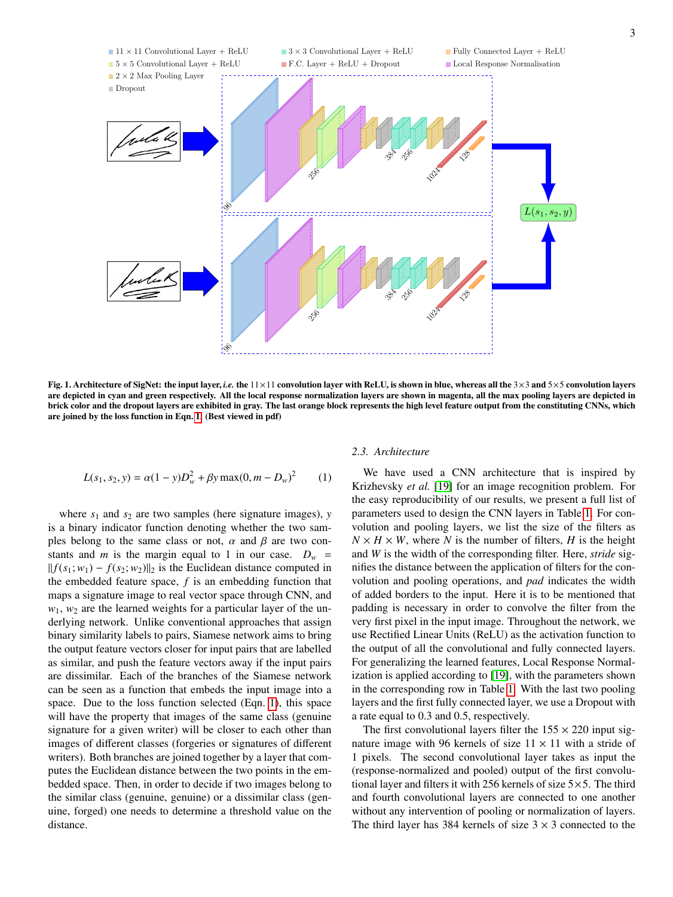

Fig. 1. Architecture of SigNet: the input layer, *i.e.* the 11×11 convolution layer with ReLU, is shown in blue, whereas all the 3×3 and 5×5 convolution layers are depicted in cyan and green respectively. All the local response normalization layers are shown in magenta, all the max pooling layers are depicted in brick color and the dropout layers are exhibited in gray. The last orange block represents the high level feature output from the constituting CNNs, which are joined by the loss function in Eqn. [1.](#page-2-0) (Best viewed in pdf)

<span id="page-2-0"></span>
$$
L(s_1, s_2, y) = \alpha (1 - y) D_w^2 + \beta y \max(0, m - D_w)^2
$$
 (1)

where  $s_1$  and  $s_2$  are two samples (here signature images),  $y$ is a binary indicator function denoting whether the two samples belong to the same class or not,  $\alpha$  and  $\beta$  are two constants and *m* is the margin equal to 1 in our case.  $D_w$  =  $|| f(s_1; w_1) - f(s_2; w_2)||_2$  is the Euclidean distance computed in the embedded feature space, *f* is an embedding function that maps a signature image to real vector space through CNN, and  $w_1$ ,  $w_2$  are the learned weights for a particular layer of the underlying network. Unlike conventional approaches that assign binary similarity labels to pairs, Siamese network aims to bring the output feature vectors closer for input pairs that are labelled as similar, and push the feature vectors away if the input pairs are dissimilar. Each of the branches of the Siamese network can be seen as a function that embeds the input image into a space. Due to the loss function selected (Eqn. [1\)](#page-2-0), this space will have the property that images of the same class (genuine signature for a given writer) will be closer to each other than images of different classes (forgeries or signatures of different writers). Both branches are joined together by a layer that computes the Euclidean distance between the two points in the embedded space. Then, in order to decide if two images belong to the similar class (genuine, genuine) or a dissimilar class (genuine, forged) one needs to determine a threshold value on the distance.

## *2.3. Architecture*

We have used a CNN architecture that is inspired by Krizhevsky *et al.* [\[19\]](#page-6-19) for an image recognition problem. For the easy reproducibility of our results, we present a full list of parameters used to design the CNN layers in Table [1.](#page-3-1) For convolution and pooling layers, we list the size of the filters as  $N \times H \times W$ , where *N* is the number of filters, *H* is the height and *W* is the width of the corresponding filter. Here, *stride* signifies the distance between the application of filters for the convolution and pooling operations, and *pad* indicates the width of added borders to the input. Here it is to be mentioned that padding is necessary in order to convolve the filter from the very first pixel in the input image. Throughout the network, we use Rectified Linear Units (ReLU) as the activation function to the output of all the convolutional and fully connected layers. For generalizing the learned features, Local Response Normalization is applied according to [\[19\]](#page-6-19), with the parameters shown in the corresponding row in Table [1.](#page-3-1) With the last two pooling layers and the first fully connected layer, we use a Dropout with a rate equal to 0.3 and 0.5, respectively.

The first convolutional layers filter the  $155 \times 220$  input signature image with 96 kernels of size  $11 \times 11$  with a stride of 1 pixels. The second convolutional layer takes as input the (response-normalized and pooled) output of the first convolutional layer and filters it with 256 kernels of size  $5 \times 5$ . The third and fourth convolutional layers are connected to one another without any intervention of pooling or normalization of layers. The third layer has 384 kernels of size  $3 \times 3$  connected to the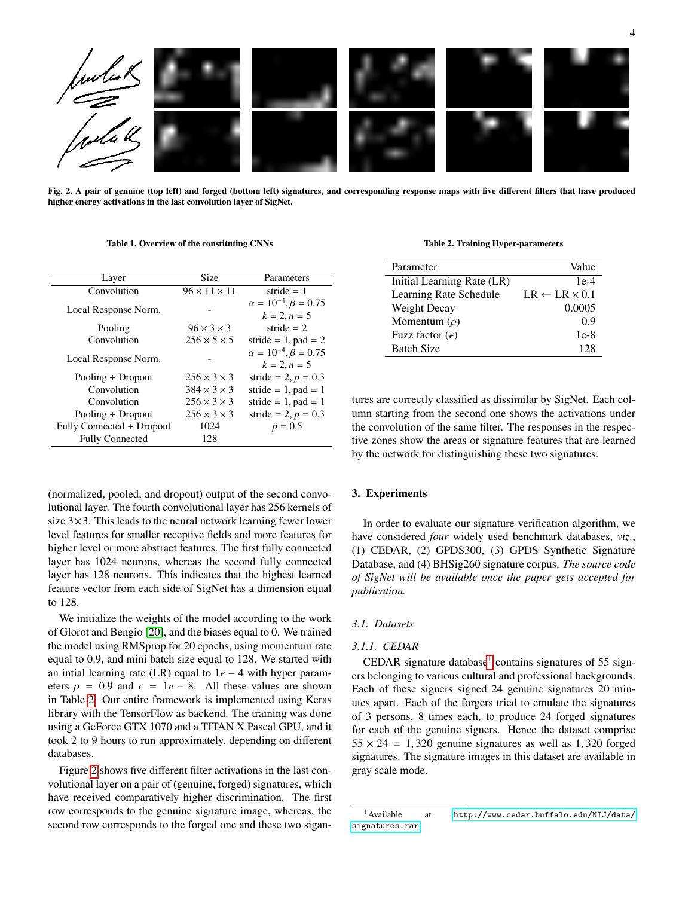

<span id="page-3-3"></span>Fig. 2. A pair of genuine (top left) and forged (bottom left) signatures, and corresponding response maps with five different filters that have produced higher energy activations in the last convolution layer of SigNet.

<span id="page-3-1"></span>Table 1. Overview of the constituting CNNs

| Layer                     | Size                     | Parameters                                         |  |  |
|---------------------------|--------------------------|----------------------------------------------------|--|--|
| Convolution               | $96 \times 11 \times 11$ | stride $= 1$                                       |  |  |
| Local Response Norm.      |                          | $\alpha = 10^{-4}, \beta = 0.75$<br>$k = 2, n = 5$ |  |  |
| Pooling                   | $96 \times 3 \times 3$   | stride $= 2$                                       |  |  |
| Convolution               | $256 \times 5 \times 5$  | stride = $1$ , pad = $2$                           |  |  |
| Local Response Norm.      |                          | $\alpha = 10^{-4}, \beta = 0.75$<br>$k = 2, n = 5$ |  |  |
| Pooling + Dropout         | $256 \times 3 \times 3$  | stride = 2, $p = 0.3$                              |  |  |
| Convolution               | $384 \times 3 \times 3$  | stride = $1$ , pad = $1$                           |  |  |
| Convolution               | $256 \times 3 \times 3$  | stride = $1$ , pad = $1$                           |  |  |
| Pooling + Dropout         | $256 \times 3 \times 3$  | stride = 2, $p = 0.3$                              |  |  |
| Fully Connected + Dropout | 1024                     | $p = 0.5$                                          |  |  |
| <b>Fully Connected</b>    | 128                      |                                                    |  |  |

(normalized, pooled, and dropout) output of the second convolutional layer. The fourth convolutional layer has 256 kernels of size  $3\times3$ . This leads to the neural network learning fewer lower level features for smaller receptive fields and more features for higher level or more abstract features. The first fully connected layer has 1024 neurons, whereas the second fully connected layer has 128 neurons. This indicates that the highest learned feature vector from each side of SigNet has a dimension equal to 128.

We initialize the weights of the model according to the work of Glorot and Bengio [\[20\]](#page-6-20), and the biases equal to 0. We trained the model using RMSprop for 20 epochs, using momentum rate equal to 0.9, and mini batch size equal to 128. We started with an intial learning rate (LR) equal to 1*e* − 4 with hyper parameters  $\rho = 0.9$  and  $\epsilon = 1e - 8$ . All these values are shown in Table [2.](#page-3-2) Our entire framework is implemented using Keras library with the TensorFlow as backend. The training was done using a GeForce GTX 1070 and a TITAN X Pascal GPU, and it took 2 to 9 hours to run approximately, depending on different databases.

Figure [2](#page-3-3) shows five different filter activations in the last convolutional layer on a pair of (genuine, forged) signatures, which have received comparatively higher discrimination. The first row corresponds to the genuine signature image, whereas, the second row corresponds to the forged one and these two sigan-

<span id="page-3-2"></span>Table 2. Training Hyper-parameters

| Parameter                  | Value                         |
|----------------------------|-------------------------------|
| Initial Learning Rate (LR) | $1e-4$                        |
| Learning Rate Schedule     | $LR \leftarrow LR \times 0.1$ |
| Weight Decay               | 0.0005                        |
| Momentum $(\rho)$          | 0.9                           |
| Fuzz factor $(\epsilon)$   | 1e-8                          |
| <b>Batch Size</b>          | 128                           |

tures are correctly classified as dissimilar by SigNet. Each column starting from the second one shows the activations under the convolution of the same filter. The responses in the respective zones show the areas or signature features that are learned by the network for distinguishing these two signatures.

#### <span id="page-3-0"></span>3. Experiments

In order to evaluate our signature verification algorithm, we have considered *four* widely used benchmark databases, *viz.*, (1) CEDAR, (2) GPDS300, (3) GPDS Synthetic Signature Database, and (4) BHSig260 signature corpus. *The source code of SigNet will be available once the paper gets accepted for publication.*

## <span id="page-3-5"></span>*3.1. Datasets*

## *3.1.1. CEDAR*

CEDAR signature database<sup>[1](#page-3-4)</sup> contains signatures of 55 signers belonging to various cultural and professional backgrounds. Each of these signers signed 24 genuine signatures 20 minutes apart. Each of the forgers tried to emulate the signatures of 3 persons, 8 times each, to produce 24 forged signatures for each of the genuine signers. Hence the dataset comprise  $55 \times 24 = 1,320$  genuine signatures as well as 1,320 forged signatures. The signature images in this dataset are available in gray scale mode.

<span id="page-3-4"></span><sup>&</sup>lt;sup>1</sup>Available at [http://www.cedar.buffalo.edu/NIJ/data/](http://www.cedar.buffalo.edu/NIJ/data/signatures.rar) [signatures.rar](http://www.cedar.buffalo.edu/NIJ/data/signatures.rar)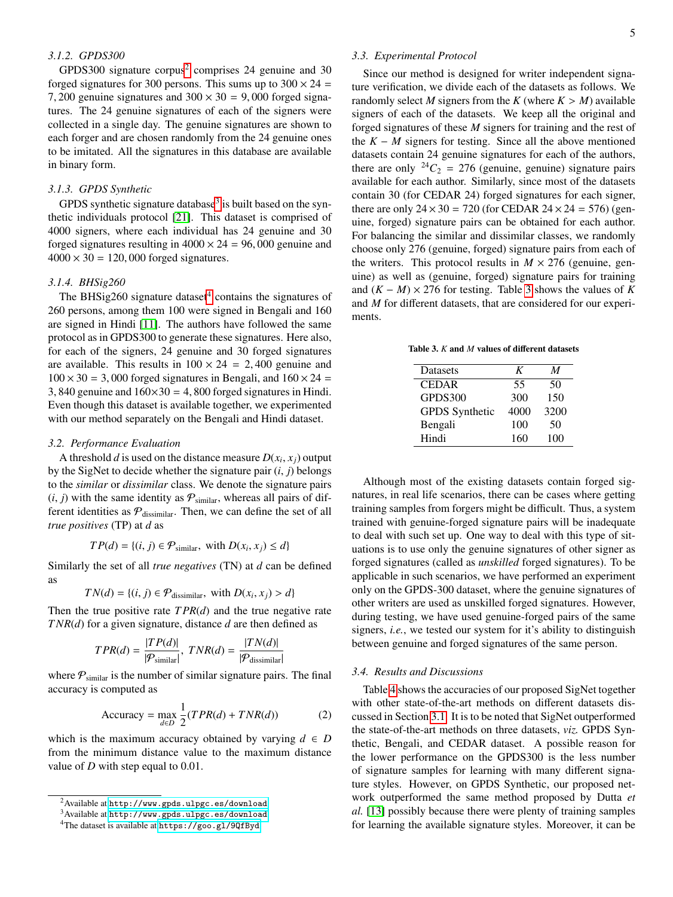## *3.1.2. GPDS300*

GPDS300 signature corpus<sup>[2](#page-4-0)</sup> comprises 24 genuine and 30 forged signatures for 300 persons. This sums up to  $300 \times 24 =$ 7, 200 genuine signatures and  $300 \times 30 = 9,000$  forged signatures. The 24 genuine signatures of each of the signers were collected in a single day. The genuine signatures are shown to each forger and are chosen randomly from the 24 genuine ones to be imitated. All the signatures in this database are available in binary form.

## *3.1.3. GPDS Synthetic*

GPDS synthetic signature database<sup>[3](#page-4-1)</sup> is built based on the synthetic individuals protocol [\[21\]](#page-6-21). This dataset is comprised of 4000 signers, where each individual has 24 genuine and 30 forged signatures resulting in  $4000 \times 24 = 96,000$  genuine and  $4000 \times 30 = 120,000$  forged signatures.

#### *3.1.4. BHSig260*

The BHSig260 signature dataset $4$  contains the signatures of 260 persons, among them 100 were signed in Bengali and 160 are signed in Hindi [\[11\]](#page-6-10). The authors have followed the same protocol as in GPDS300 to generate these signatures. Here also, for each of the signers, 24 genuine and 30 forged signatures are available. This results in  $100 \times 24 = 2,400$  genuine and  $100 \times 30 = 3,000$  forged signatures in Bengali, and  $160 \times 24 =$ 3, 840 genuine and  $160 \times 30 = 4$ , 800 forged signatures in Hindi. Even though this dataset is available together, we experimented with our method separately on the Bengali and Hindi dataset.

#### *3.2. Performance Evaluation*

A threshold *d* is used on the distance measure  $D(x_i, x_j)$  output<br>the SigNet to decide whether the signature pair (*i*) belongs by the SigNet to decide whether the signature pair  $(i, j)$  belongs to the *similar* or *dissimilar* class. We denote the signature pairs  $(i, j)$  with the same identity as  $P_{\text{similar}}$ , whereas all pairs of different identities as  $P_{\text{dissimilar}}$ . Then, we can define the set of all *true positives* (TP) at *d* as

$$
TP(d) = \{(i, j) \in \mathcal{P}_{\text{similar}}, \text{ with } D(x_i, x_j) \le d\}
$$

Similarly the set of all *true negatives* (TN) at *d* can be defined as

$$
TN(d) = \{(i, j) \in \mathcal{P}_{\text{dissimilar}}, \text{ with } D(x_i, x_j) > d\}
$$

Then the true positive rate *T PR*(*d*) and the true negative rate *T NR*(*d*) for a given signature, distance *d* are then defined as

$$
TPR(d) = \frac{|TP(d)|}{|\mathcal{P}_{\text{similar}}|}, \text{ } TNR(d) = \frac{|TN(d)|}{|\mathcal{P}_{\text{dissimilar}}|}
$$

where  $P_{\text{similar}}$  is the number of similar signature pairs. The final accuracy is computed as

$$
Accuracy = \max_{d \in D} \frac{1}{2} (TPR(d) + TNR(d))
$$
 (2)

which is the maximum accuracy obtained by varying  $d \in D$ from the minimum distance value to the maximum distance value of *<sup>D</sup>* with step equal to 0.01.

## *3.3. Experimental Protocol*

Since our method is designed for writer independent signature verification, we divide each of the datasets as follows. We randomly select *M* signers from the *K* (where  $K > M$ ) available signers of each of the datasets. We keep all the original and forged signatures of these *M* signers for training and the rest of the  $K - M$  signers for testing. Since all the above mentioned datasets contain 24 genuine signatures for each of the authors, there are only  $^{24}C_2 = 276$  (genuine, genuine) signature pairs available for each author. Similarly, since most of the datasets contain 30 (for CEDAR 24) forged signatures for each signer, there are only  $24 \times 30 = 720$  (for CEDAR  $24 \times 24 = 576$ ) (genuine, forged) signature pairs can be obtained for each author. For balancing the similar and dissimilar classes, we randomly choose only 276 (genuine, forged) signature pairs from each of the writers. This protocol results in  $M \times 276$  (genuine, genuine) as well as (genuine, forged) signature pairs for training and  $(K - M) \times 276$  for testing. Table [3](#page-4-3) shows the values of K and *M* for different datasets, that are considered for our experiments.

<span id="page-4-3"></span>Table 3. *K* and *M* values of different datasets

| <b>Datasets</b>       | K    | M    |
|-----------------------|------|------|
| <b>CEDAR</b>          | 55   | 50   |
| GPDS300               | 300  | 150  |
| <b>GPDS</b> Synthetic | 4000 | 3200 |
| Bengali               | 100  | 50   |
| Hindi                 | 160  | 100  |

Although most of the existing datasets contain forged signatures, in real life scenarios, there can be cases where getting training samples from forgers might be difficult. Thus, a system trained with genuine-forged signature pairs will be inadequate to deal with such set up. One way to deal with this type of situations is to use only the genuine signatures of other signer as forged signatures (called as *unskilled* forged signatures). To be applicable in such scenarios, we have performed an experiment only on the GPDS-300 dataset, where the genuine signatures of other writers are used as unskilled forged signatures. However, during testing, we have used genuine-forged pairs of the same signers, *i.e.*, we tested our system for it's ability to distinguish between genuine and forged signatures of the same person.

#### *3.4. Results and Discussions*

Table [4](#page-5-0) shows the accuracies of our proposed SigNet together with other state-of-the-art methods on different datasets discussed in Section [3.1.](#page-3-5) It is to be noted that SigNet outperformed the state-of-the-art methods on three datasets, *viz.* GPDS Synthetic, Bengali, and CEDAR dataset. A possible reason for the lower performance on the GPDS300 is the less number of signature samples for learning with many different signature styles. However, on GPDS Synthetic, our proposed network outperformed the same method proposed by Dutta *et al.* [\[13\]](#page-6-12) possibly because there were plenty of training samples for learning the available signature styles. Moreover, it can be

<span id="page-4-0"></span><sup>2</sup>Available at <http://www.gpds.ulpgc.es/download>

<span id="page-4-1"></span><sup>3</sup>Available at <http://www.gpds.ulpgc.es/download>

<span id="page-4-2"></span><sup>4</sup>The dataset is available at <https://goo.gl/9QfByd>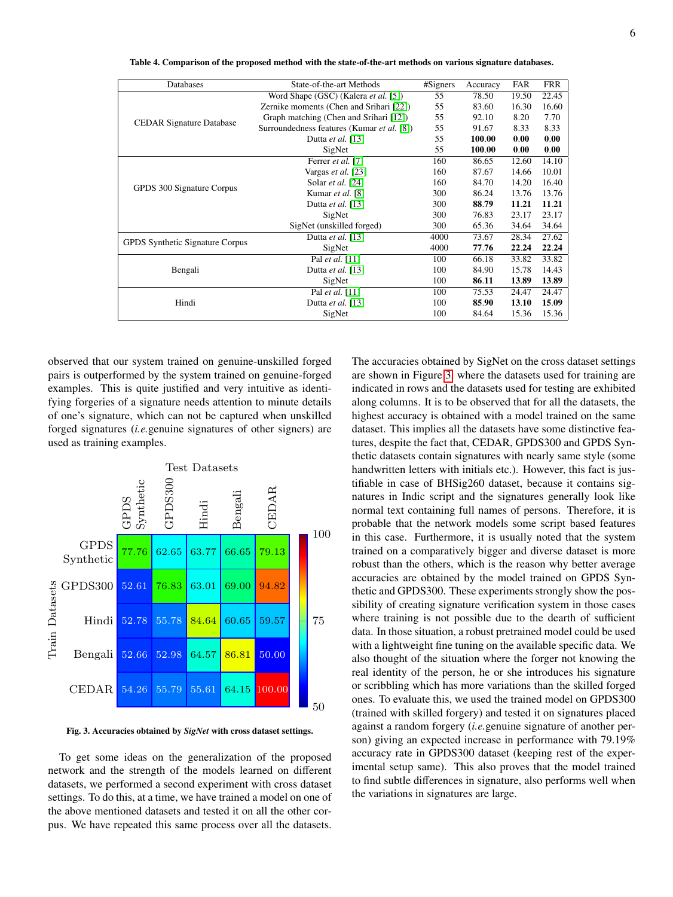<span id="page-5-0"></span>Table 4. Comparison of the proposed method with the state-of-the-art methods on various signature databases.

| Databases                              | State-of-the-art Methods                   | #Signers | Accuracy | FAR   | <b>FRR</b> |
|----------------------------------------|--------------------------------------------|----------|----------|-------|------------|
| <b>CEDAR Signature Database</b>        | Word Shape (GSC) (Kalera et al. [5])       | 55       | 78.50    | 19.50 | 22.45      |
|                                        | Zernike moments (Chen and Srihari [22])    | 55       | 83.60    | 16.30 | 16.60      |
|                                        | Graph matching (Chen and Srihari [12])     | 55       | 92.10    | 8.20  | 7.70       |
|                                        | Surroundedness features (Kumar et al. [8]) | 55       | 91.67    | 8.33  | 8.33       |
|                                        | Dutta <i>et al.</i> [13]                   | 55       | 100.00   | 0.00  | 0.00       |
|                                        | SigNet                                     | 55       | 100.00   | 0.00  | 0.00       |
| GPDS 300 Signature Corpus              | Ferrer et al. [7]                          | 160      | 86.65    | 12.60 | 14.10      |
|                                        | Vargas et al. [23]                         | 160      | 87.67    | 14.66 | 10.01      |
|                                        | Solar et al. [24]                          | 160      | 84.70    | 14.20 | 16.40      |
|                                        | Kumar et al. [8]                           | 300      | 86.24    | 13.76 | 13.76      |
|                                        | Dutta et al. [13]                          | 300      | 88.79    | 11.21 | 11.21      |
|                                        | SigNet                                     | 300      | 76.83    | 23.17 | 23.17      |
|                                        | SigNet (unskilled forged)                  | 300      | 65.36    | 34.64 | 34.64      |
| <b>GPDS</b> Synthetic Signature Corpus | Dutta <i>et al.</i> [13]                   | 4000     | 73.67    | 28.34 | 27.62      |
|                                        | SigNet                                     | 4000     | 77.76    | 22.24 | 22.24      |
| Bengali                                | Pal et al. [11]                            | 100      | 66.18    | 33.82 | 33.82      |
|                                        | Dutta et al. [13]                          | 100      | 84.90    | 15.78 | 14.43      |
|                                        | SigNet                                     | 100      | 86.11    | 13.89 | 13.89      |
| Hindi                                  | Pal et al. [11]                            | 100      | 75.53    | 24.47 | 24.47      |
|                                        | Dutta et al. [13]                          | 100      | 85.90    | 13.10 | 15.09      |
|                                        | SigNet                                     | 100      | 84.64    | 15.36 | 15.36      |
|                                        |                                            |          |          |       |            |

observed that our system trained on genuine-unskilled forged pairs is outperformed by the system trained on genuine-forged examples. This is quite justified and very intuitive as identifying forgeries of a signature needs attention to minute details of one's signature, which can not be captured when unskilled forged signatures (*i.e.*genuine signatures of other signers) are used as training examples.



<span id="page-5-1"></span>Fig. 3. Accuracies obtained by *SigNet* with cross dataset settings.

To get some ideas on the generalization of the proposed network and the strength of the models learned on different datasets, we performed a second experiment with cross dataset settings. To do this, at a time, we have trained a model on one of the above mentioned datasets and tested it on all the other corpus. We have repeated this same process over all the datasets.

The accuracies obtained by SigNet on the cross dataset settings are shown in Figure [3,](#page-5-1) where the datasets used for training are indicated in rows and the datasets used for testing are exhibited along columns. It is to be observed that for all the datasets, the highest accuracy is obtained with a model trained on the same dataset. This implies all the datasets have some distinctive features, despite the fact that, CEDAR, GPDS300 and GPDS Synthetic datasets contain signatures with nearly same style (some handwritten letters with initials etc.). However, this fact is justifiable in case of BHSig260 dataset, because it contains signatures in Indic script and the signatures generally look like normal text containing full names of persons. Therefore, it is probable that the network models some script based features in this case. Furthermore, it is usually noted that the system trained on a comparatively bigger and diverse dataset is more robust than the others, which is the reason why better average accuracies are obtained by the model trained on GPDS Synthetic and GPDS300. These experiments strongly show the possibility of creating signature verification system in those cases where training is not possible due to the dearth of sufficient data. In those situation, a robust pretrained model could be used with a lightweight fine tuning on the available specific data. We also thought of the situation where the forger not knowing the real identity of the person, he or she introduces his signature or scribbling which has more variations than the skilled forged ones. To evaluate this, we used the trained model on GPDS300 (trained with skilled forgery) and tested it on signatures placed against a random forgery (*i.e.*genuine signature of another person) giving an expected increase in performance with 79.19% accuracy rate in GPDS300 dataset (keeping rest of the experimental setup same). This also proves that the model trained to find subtle differences in signature, also performs well when the variations in signatures are large.